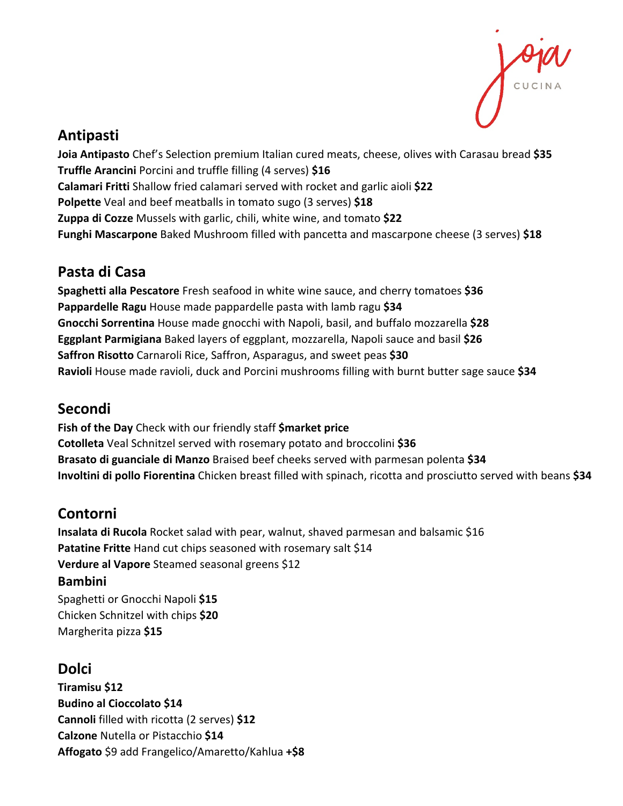

## **Antipasti**

**Joia Antipasto** Chef's Selection premium Italian cured meats, cheese, olives with Carasau bread **\$35 Truffle Arancini** Porcini and truffle filling (4 serves) **\$16 Calamari Fritti** Shallow fried calamari served with rocket and garlic aioli **\$22 Polpette** Veal and beef meatballs in tomato sugo (3 serves) **\$18 Zuppa di Cozze** Mussels with garlic, chili, white wine, and tomato **\$22 Funghi Mascarpone** Baked Mushroom filled with pancetta and mascarpone cheese (3 serves) **\$18**

## **Pasta di Casa**

**Spaghetti alla Pescatore** Fresh seafood in white wine sauce, and cherry tomatoes **\$36 Pappardelle Ragu** House made pappardelle pasta with lamb ragu **\$34 Gnocchi Sorrentina** House made gnocchi with Napoli, basil, and buffalo mozzarella **\$28 Eggplant Parmigiana** Baked layers of eggplant, mozzarella, Napoli sauce and basil **\$26 Saffron Risotto** Carnaroli Rice, Saffron, Asparagus, and sweet peas **\$30 Ravioli** House made ravioli, duck and Porcini mushrooms filling with burnt butter sage sauce **\$34**

## **Secondi**

**Fish of the Day** Check with our friendly staff **\$market price Cotolleta** Veal Schnitzel served with rosemary potato and broccolini **\$36 Brasato di guanciale di Manzo** Braised beef cheeks served with parmesan polenta **\$34 Involtini di pollo Fiorentina** Chicken breast filled with spinach, ricotta and prosciutto served with beans **\$34**

# **Contorni**

**Insalata di Rucola** Rocket salad with pear, walnut, shaved parmesan and balsamic \$16 **Patatine Fritte** Hand cut chips seasoned with rosemary salt \$14 **Verdure al Vapore** Steamed seasonal greens \$12

#### **Bambini**

Spaghetti or Gnocchi Napoli **\$15** Chicken Schnitzel with chips **\$20** Margherita pizza **\$15** 

## **Dolci**

**Tiramisu \$12 Budino al Cioccolato \$14 Cannoli** filled with ricotta (2 serves) **\$12 Calzone** Nutella or Pistacchio **\$14 Affogato** \$9 add Frangelico/Amaretto/Kahlua **+\$8**